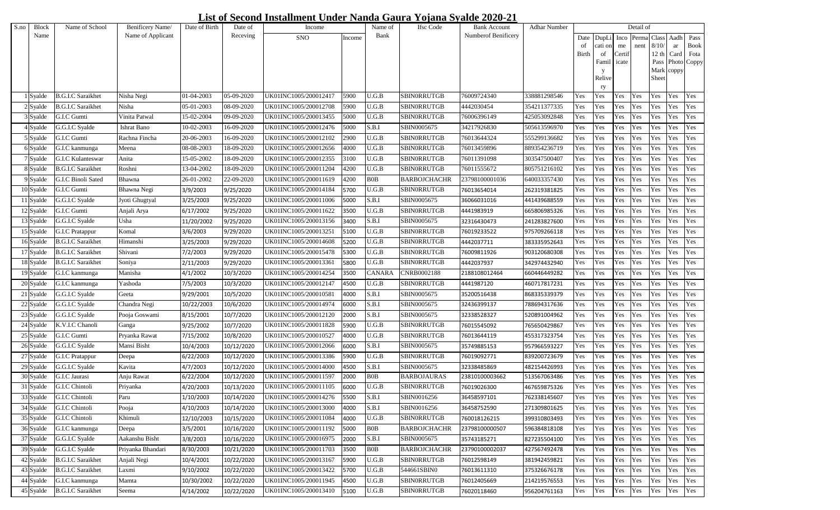## **List of Second Installment Under Nanda Gaura Yojana Syalde 2020-21**

| S.no | <b>Block</b>  | Name of School           | Benificery Name/  | Date of Birth | Date of    | Income                |        | Name of        | <b>Ifsc</b> Code    | Bank Account        | <b>Adhar Number</b> |       |            |        | Detail of  |       |            |             |
|------|---------------|--------------------------|-------------------|---------------|------------|-----------------------|--------|----------------|---------------------|---------------------|---------------------|-------|------------|--------|------------|-------|------------|-------------|
|      | Name          |                          | Name of Applicant |               | Receving   | <b>SNO</b>            | Income | Bank           |                     | Numberof Benificery |                     |       | Date DupLi |        | Inco Perma | Class |            | Aadh Pass   |
|      |               |                          |                   |               |            |                       |        |                |                     |                     |                     | -of   | cati on    | me     | nent       | 8/10  | ar         | <b>Book</b> |
|      |               |                          |                   |               |            |                       |        |                |                     |                     |                     | Birth | of         | Certif |            | 12 th |            | Card Fota   |
|      |               |                          |                   |               |            |                       |        |                |                     |                     |                     |       | Famil      | icate  |            | Pass  |            | Photo Coppy |
|      |               |                          |                   |               |            |                       |        |                |                     |                     |                     |       | Relive     |        |            | Sheet | Mark coppy |             |
|      |               |                          |                   |               |            |                       |        |                |                     |                     |                     |       | rу         |        |            |       |            |             |
|      | Syalde        | <b>B.G.I.C Saraikhet</b> | Nisha Negi        | 01-04-2003    | 05-09-2020 | UK01INC1005/200012417 | 5900   | U.G.B          | SBINORRUTGB         | 76009724340         | 338881298546        | Yes   | Yes        | Yes    | Yes        | Yes   | Yes        | Yes         |
|      | Syalde        | <b>B.G.I.C Saraikhet</b> | Nisha             | 05-01-2003    | 08-09-2020 | UK01INC1005/200012708 | 5900   | $_{\rm U.G.B}$ | SBINORRUTGB         | 4442030454          | 354211377335        | Yes   | Yes        | Yes    | Yes        | Yes   | Yes        | Yes         |
|      | Syalde        | G.I.C Gumti              | Vinita Patwal     | 15-02-2004    | 09-09-2020 | UK01INC1005/200013455 | 5000   | U.G.B          | SBINORRUTGB         | 76006396149         | 425053092848        | Yes   | Yes        | Yes    | Yes        | Yes   | Yes        | Yes         |
|      | Syalde        | G.G.I.C Syalde           | Ishrat Bano       | 10-02-2003    | 16-09-2020 | UK01INC1005/200012476 | 5000   | S.B.I          | SBIN0005675         | 34217926830         | 505613596970        | Yes   | Yes        | Yes    | Yes        | Yes   | Yes        | Yes         |
|      | Syalde        | G.I.C Gumti              | Rachna Fincha     | 20-06-2003    | 16-09-2020 | UK01INC1005/200012102 | 2900   | U.G.B          | SBINORRUTGB         | 76013644324         | 555299136682        | Yes   | Yes        | Yes    | Yes        | Yes   | Yes        | Yes         |
|      | Syalde        | G.I.C kanmunga           | Meena             | 08-08-2003    | 18-09-2020 | UK01INC1005/200012656 | 4000   | U.G.B          | SBINORRUTGB         | 76013459896         | 889354236719        | Yes   | Yes        | Yes    | Yes        | Yes   | Yes        | Yes         |
|      | Syalde        | G.I.C Kulanteswar        | Anita             | 15-05-2002    | 18-09-2020 | UK01INC1005/200012355 | 3100   | U.G.B          | SBIN0RRUTGB         | 76011391098         | 303547500407        | Yes   | Yes        | Yes    | Yes        | Yes   | Yes        | Yes         |
|      | Syalde        | <b>B.G.I.C Saraikhet</b> | Roshni            | 13-04-2002    | 18-09-2020 | UK01INC1005/200011204 | 4200   | U.G.B          | SBIN0RRUTGB         | 76011555672         | 805751216102        | Yes   | Yes        | Yes    | Yes        | Yes   | Yes        | Yes         |
|      | 9 Syalde      | G.I.C Binoli Sated       | Bhawna            | 26-01-2002    | 22-09-2020 | UK01INC1005/200011619 | 4200   | BOB            | <b>BARBOJCHACHR</b> | 23798100001036      | 640033357430        | Yes   | Yes        | Yes    | Yes        | Yes   | Yes        | Yes         |
|      | 10 Syalde     | G.I.C Gumti              | Bhawna Negi       | 3/9/2003      | 9/25/2020  | UK01INC1005/200014184 | 5700   | U.G.B          | SBIN0RRUTGB         | 76013654014         | 262319381825        | Yes   | Yes        | Yes    | Yes        | Yes   | Yes        | Yes         |
|      | 11 Syalde     | G.G.I.C Syalde           | Jyoti Ghugtyal    | 3/25/2003     | 9/25/2020  | UK01INC1005/200011006 | 5000   | S.B.I          | SBIN0005675         | 36066031016         | 441439688559        | Yes   | Yes        | Yes    | Yes        | Yes   | Yes        | Yes         |
|      | 12 Syalde     | G.I.C Gumti              | Anjali Arya       | 6/17/2002     | 9/25/2020  | UK01INC1005/200011622 | 3500   | U.G.B          | SBINORRUTGB         | 4441983919          | 665806985326        | Yes   | Yes        | Yes    | Yes        | Yes   | Yes        | Yes         |
|      | 13 Syalde     | G.G.I.C Syalde           | Usha              | 11/20/2002    | 9/25/2020  | UK01INC1005/200013156 | 3400   | S.B.I          | SBIN0005675         | 32316430473         | 241283827600        | Yes   | Yes        | Yes    | Yes        | Yes   | Yes        | Yes         |
|      | 15 Syalde     | G.I.C Pratappur          | Komal             | 3/6/2003      | 9/29/2020  | UK01INC1005/200013251 | 5100   | U.G.B          | SBINORRUTGB         | 76019233522         | 975709266118        | Yes   | Yes        | Yes    | Yes        | Yes   | Yes        | Yes         |
|      | 16 Syalde     | <b>B.G.I.C</b> Saraikhet | Himanshi          | 3/25/2003     | 9/29/2020  | UK01INC1005/200014608 | 5200   | U.G.B          | SBINORRUTGB         | 4442037711          | 383335952643        | Yes   | Yes        | Yes    | Yes        | Yes   | Yes        | Yes         |
|      | 17 Syalde     | <b>B.G.I.C Saraikhet</b> | Shivani           | 7/2/2003      | 9/29/2020  | UK01INC1005/200015478 | 5300   | U.G.B          | <b>SBINORRUTGB</b>  | 76009811926         | 903120680308        | Yes   | Yes        | Yes    | Yes        | Yes   | Yes        | Yes         |
|      | 18 Syalde     | <b>B.G.I.C Saraikhet</b> | Soniya            | 2/11/2003     | 9/29/2020  | UK01INC1005/200013361 | 5800   | U.G.B          | <b>SBINORRUTGB</b>  | 4442037937          | 342974432940        | Yes   | Yes        | Yes    | Yes        | Yes   | Yes        | Yes         |
| 19   | <b>Syalde</b> | G.I.C kanmunga           | Manisha           | 4/1/2002      | 10/3/2020  | UK01INC1005/200014254 | 3500   | CANARA         | CNRB0002188         | 2188108012464       | 660446449282        | Yes   | Yes        | Yes    | Yes        | Yes   | Yes        | Yes         |
|      | 20 Syalde     | G.I.C kanmunga           | Yashoda           | 7/5/2003      | 10/3/2020  | UK01INC1005/200012147 | 4500   | U.G.B          | <b>SBINORRUTGB</b>  | 4441987120          | 460717817231        | Yes   | Yes        | Yes    | Yes        | Yes   | Yes        | Yes         |
|      | 21 Syalde     | G.G.I.C Syalde           | Geeta             | 9/29/2001     | 10/5/2020  | UK01INC1005/200010581 | 4000   | S.B.I          | SBIN0005675         | 35200516438         | 868335339379        | Yes   | Yes        | Yes    | Yes        | Yes   | Yes        | Yes         |
|      | 22 Syalde     | G.G.I.C Syalde           | Chandra Negi      | 10/22/2003    | 10/6/2020  | UK01INC1005/200014974 | 6000   | S.B.I          | SBIN0005675         | 32436399137         | 788694317636        | Yes   | Yes        | Yes    | Yes        | Yes   | Yes        | Yes         |
|      | 23 Syalde     | G.G.I.C Syalde           | Pooja Goswami     | 8/15/2001     | 10/7/2020  | UK01INC1005/200012120 | 2000   | S.B.I          | SBIN0005675         | 32338528327         | 520891004962        | Yes   | Yes        | Yes    | Yes        | Yes   | Yes        | Yes         |
|      | 24 Syalde     | K.V.I.C Chanoli          | Ganga             | 9/25/2002     | 10/7/2020  | UK01INC1005/200011828 | 5900   | U.G.B          | SBINORRUTGB         | 76015545092         | 765650429867        | Yes   | Yes        | Yes    | Yes        | Yes   | Yes        | Yes         |
|      | 25 Syalde     | G.I.C Gumti              | Pryanka Rawat     | 7/15/2002     | 10/8/2020  | UK01INC1005/200010527 | 4000   | U.G.B          | SBINORRUTGB         | 76013644119         | 455317323754        | Yes   | Yes        | Yes    | Yes        | Yes   | Yes        | Yes         |
|      | 26 Syalde     | G.G.I.C Syalde           | Mansi Bisht       | 10/4/2003     | 10/12/2020 | UK01INC1005/200012066 | 6000   | S.B.I          | SBIN0005675         | 35749885153         | 957966593227        | Yes   | Yes        | Yes    | Yes        | Yes   | Yes        | Yes         |
|      | 27 Syalde     | G.I.C Pratappur          | Deepa             | 6/22/2003     | 10/12/2020 | UK01INC1005/200013386 | 5900   | U.G.B          | SBIN0RRUTGB         | 76019092771         | 839200723679        | Yes   | Yes        | Yes    | Yes        | Yes   | Yes        | Yes         |
|      | 29 Syalde     | G.G.I.C Syalde           | Kavita            | 4/7/2003      | 10/12/2020 | UK01INC1005/200014000 | 4500   | S.B.I          | SBIN0005675         | 32338485869         | 482154426993        | Yes   | Yes        | Yes    | Yes        | Yes   | Yes        | Yes         |
|      | 30 Syalde     | G.I.C Jaurasi            | Anju Rawat        | 6/22/2004     | 10/12/2020 | UK01INC1005/200011597 | 2000   | <b>B0B</b>     | <b>BARBOJAURAS</b>  | 23810100003662      | 513567063486        | Yes   | Yes        | Yes    | Yes        | Yes   | Yes        | Yes         |
|      | 31 Syalde     | G.I.C Chintoli           | Priyanka          | 4/20/2003     | 10/13/2020 | UK01INC1005/200011105 | 6000   | U.G.B          | <b>SBINORRUTGB</b>  | 76019026300         | 467659875326        | Yes   | Yes        | Yes    | Yes        | Yes   | Yes        | Yes         |
|      | 33 Syalde     | G.I.C Chintoli           | Paru              | 1/10/2003     | 10/14/2020 | UK01INC1005/200014276 | 5500   | S.B.I          | SBIN0016256         | 36458597101         | 762338145607        | Yes   | Yes        | Yes    | Yes        | Yes   | Yes        | Yes         |
|      | 34 Syalde     | G.I.C Chintoli           | Pooja             | 4/10/2003     | 10/14/2020 | UK01INC1005/200013000 | 4000   | S.B.I          | SBIN0016256         | 36458752590         | 271309801625        | Yes   | Yes        | Yes    | Yes        | Yes   | Yes        | Yes         |
|      | 35 Syalde     | G.I.C Chintoli           | Khimuli           | 12/10/2003    | 10/15/2020 | UK01INC1005/200011084 | 4000   | U.G.B          | <b>SBINORRUTGB</b>  | 760018126215        | 399310803493        | Yes   | Yes        | Yes    | Yes        | Yes   | Yes        | Yes         |
|      | 36 Syalde     | G.I.C kanmunga           | Deepa             | 3/5/2001      | 10/16/2020 | UK01INC1005/200011192 | 5000   | <b>B0B</b>     | <b>BARBOJCHACHR</b> | 23798100000507      | 596384818108        | Yes   | Yes        | Yes    | Yes        | Yes   | Yes        | Yes         |
|      | 37 Syalde     | G.G.I.C Syalde           | Aakanshu Bisht    | 3/8/2003      | 10/16/2020 | UK01INC1005/200016975 | 2000   | S.B.I          | SBIN0005675         | 35743185271         | 827235504100        | Yes   | Yes        | Yes    | Yes        | Yes   | Yes        | Yes         |
|      | 39 Syalde     | G.G.I.C Syalde           | Priyanka Bhandari | 8/30/2003     | 10/21/2020 | UK01INC1005/200011703 | 3500   | <b>BOB</b>     | <b>BARBOJCHACHR</b> | 23790100002037      | 427567492478        | Yes   | Yes        | Yes    | Yes        | Yes   | Yes        | Yes         |
|      | 42 Syalde     | <b>B.G.I.C Saraikhet</b> | Anjali Negi       | 10/4/2001     | 10/22/2020 | UK01INC1005/200013167 | 5900   | U.G.B          | <b>SBINORRUTGB</b>  | 76012598149         | 381942459821        | Yes   | Yes        | Yes    | Yes        | Yes   | Yes        | Yes         |
|      | 43 Syalde     | <b>B.G.I.C Saraikhet</b> | Laxmi             | 9/10/2002     | 10/22/2020 | UK01INC1005/200013422 | 5700   | U.G.B          | 544661SBIN0         | 76013611310         | 375326676178        | Yes   | Yes        | Yes    | Yes        | Yes   | Yes        | Yes         |
|      | 44 Syalde     | G.I.C kanmunga           | Mamta             | 10/30/2002    | 10/22/2020 | UK01INC1005/200011945 | 4500   | $_{\rm U.G.B}$ | <b>SBINORRUTGB</b>  | 76012405669         | 214219576553        | Yes   | Yes        | Yes    | Yes        | Yes   | Yes        | Yes         |
|      | 45 Syalde     | <b>B.G.I.C Saraikhet</b> | Seema             | 4/14/2002     | 10/22/2020 | UK01INC1005/200013410 | 5100   | U.G.B          | SBINORRUTGB         | 76020118460         | 956204761163        | Yes   | Yes        | Yes    | Yes        | Yes   | Yes        | Yes         |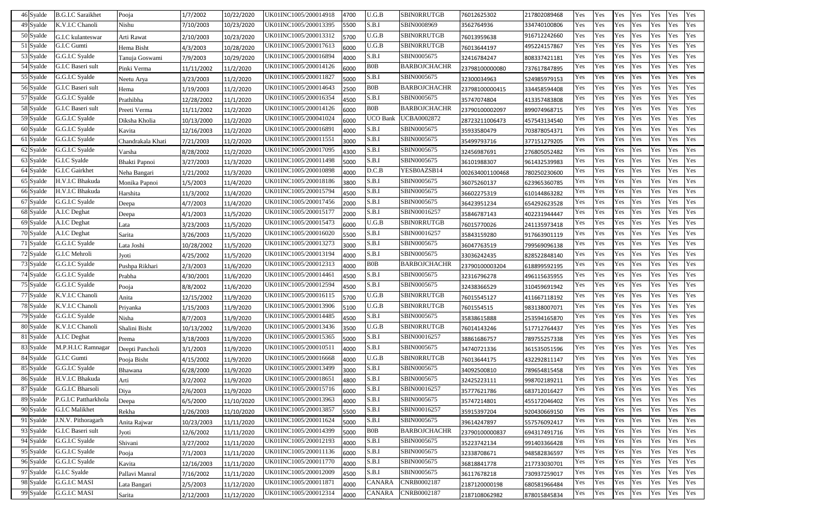| 46 Syalde | <b>B.G.I.C Saraikhet</b> | Pooja             | 1/7/2002   | 10/22/2020 | UK01INC1005/200014918 | 4700 | U.G.B           | SBINORRUTGB         | 76012625302     | 217802089468 | Yes | Yes | Yes | Yes | Yes | Yes | Yes |
|-----------|--------------------------|-------------------|------------|------------|-----------------------|------|-----------------|---------------------|-----------------|--------------|-----|-----|-----|-----|-----|-----|-----|
| 49 Syalde | K.V.I.C Chanoli          | Nishu             | 7/10/2003  | 10/23/2020 | UK01INC1005/200013395 | 5500 | S.B.I           | SBIN0008969         | 3562764936      | 334740100806 | Yes | Yes | Yes | Yes | Yes | Yes | Yes |
| 50 Syalde | G.I.C kulanteswar        | Arti Rawat        | 2/10/2003  | 10/23/2020 | UK01INC1005/200013312 | 5700 | U.G.B           | <b>SBINORRUTGB</b>  | 76013959638     | 916712242660 | Yes | Yes | Yes | Yes | Yes | Yes | Yes |
| 51 Syalde | G.I.C Gumti              | Hema Bisht        | 4/3/2003   | 10/28/2020 | UK01INC1005/200017613 | 6000 | U.G.B           | <b>SBINORRUTGB</b>  | 76013644197     | 495224157867 | Yes | Yes | Yes | Yes | Yes | Yes | Yes |
| 53 Syalde | G.G.I.C Syalde           | Tanuja Goswami    | 7/9/2003   | 10/29/2020 | UK01INC1005/200016894 | 4000 | S.B.I           | SBIN0005675         | 32416784247     | 808337421181 | Yes | Yes | Yes | Yes | Yes | Yes | Yes |
| 54 Syalde | G.I.C Baseri sult        | Pinki Verma       | 11/11/2002 | 11/2/2020  | UK01INC1005/200014126 | 6000 | <b>B0B</b>      | <b>BARBOJCHACHR</b> | 23798100000080  | 737617847895 | Yes | Yes | Yes | Yes | Yes | Yes | Yes |
| 55 Syalde | G.G.I.C Syalde           | Neetu Arya        | 3/23/2003  | 11/2/2020  | UK01INC1005/200011827 | 5000 | S.B.I           | SBIN0005675         | 32300034963     | 524985979153 | Yes | Yes | Yes | Yes | Yes | Yes | Yes |
| 56 Syalde | G.I.C Baseri sult        | Hema              | 1/19/2003  | 11/2/2020  | UK01INC1005/200014643 | 2500 | <b>BOB</b>      | <b>BARBOJCHACHR</b> | 23798100000415  | 334458594408 | Yes | Yes | Yes | Yes | Yes | Yes | Yes |
| 57 Syalde | G.G.I.C Syalde           | Prathibha         | 12/28/2002 | 11/1/2020  | UK01INC1005/200016354 | 4500 | S.B.I           | SBIN0005675         | 35747074804     | 413357483808 | Yes | Yes | Yes | Yes | Yes | Yes | Yes |
| 58 Syalde | G.I.C Baseri sult        | Preeti Verma      | 11/11/2002 | 11/2/2020  | UK01INC1005/200014126 | 6000 | <b>BOB</b>      | <b>BARBOJCHACHR</b> | 23790100002097  | 899074968715 | Yes | Yes | Yes | Yes | Yes | Yes | Yes |
| 59 Syalde | G.G.I.C Syalde           | Diksha Kholia     | 10/13/2000 | 11/2/2020  | UK01INC1005/200041024 | 6000 | <b>UCO</b> Bank | <b>UCBA0002872</b>  | 28723211006473  | 457543134540 | Yes | Yes | Yes | Yes | Yes | Yes | Yes |
| 60 Syalde | G.G.I.C Syalde           | Kavita            | 12/16/2003 | 11/2/2020  | UK01INC1005/200016891 | 4000 | S.B.I           | SBIN0005675         | 35933580479     | 703878054371 | Yes | Yes | Yes | Yes | Yes | Yes | Yes |
| 61 Syalde | G.G.I.C Syalde           | Chandrakala Khati | 7/21/2003  | 11/2/2020  | UK01INC1005/200011551 | 3000 | S.B.I           | SBIN0005675         | 35499793716     | 377151279205 | Yes | Yes | Yes | Yes | Yes | Yes | Yes |
| 62 Syalde | G.G.I.C Syalde           | Varsha            | 8/28/2002  | 11/2/2020  | UK01INC1005/200017095 | 4300 | S.B.I           | SBIN0005675         | 32456987691     | 276805052482 | Yes | Yes | Yes | Yes | Yes | Yes | Yes |
| 63 Syalde | G.I.C Syalde             | Bhakti Papnoi     | 3/27/2003  | 11/3/2020  | UK01INC1005/200011498 | 5000 | S.B.I           | SBIN0005675         | 36101988307     | 961432539983 | Yes | Yes | Yes | Yes | Yes | Yes | Yes |
| 64 Syalde | G.I.C Gairkhet           | Neha Bangari      | 1/21/2002  | 11/3/2020  | UK01INC1005/200010898 | 4000 | D.C.B           | YESB0AZSB14         | 002634001100468 | 780250230600 | Yes | Yes | Yes | Yes | Yes | Yes | Yes |
| 65 Syalde | H.V.I.C Bhakuda          | Monika Papnoi     | 1/5/2003   | 11/4/2020  | UK01INC1005/200018186 | 3800 | S.B.I           | SBIN0005675         | 36075260137     | 623965360785 | Yes | Yes | Yes | Yes | Yes | Yes | Yes |
| 66 Syalde | H.V.I.C Bhakuda          | Harshita          | 11/3/2002  | 11/4/2020  | UK01INC1005/200015794 | 4500 | S.B.I           | SBIN0005675         | 36602275319     | 610144863282 | Yes | Yes | Yes | Yes | Yes | Yes | Yes |
| 67 Syalde | G.G.I.C Syalde           | Deepa             | 4/7/2003   | 11/4/2020  | UK01INC1005/200017456 | 2000 | S.B.I           | SBIN0005675         | 36423951234     | 654292623528 | Yes | Yes | Yes | Yes | Yes | Yes | Yes |
| 68 Syalde | A.I.C Deghat             | Deepa             | 4/1/2003   | 11/5/2020  | UK01INC1005/200015177 | 2000 | S.B.I           | SBIN00016257        | 35846787143     | 402231944447 | Yes | Yes | Yes | Yes | Yes | Yes | Yes |
| 69 Syalde | A.I.C Deghat             | Lata              | 3/23/2003  | 11/5/2020  | UK01INC1005/200015473 | 6000 | U.G.B           | <b>SBINORRUTGB</b>  | 76015770026     | 241135973418 | Yes | Yes | Yes | Yes | Yes | Yes | Yes |
| 70 Syalde | A.I.C Deghat             | Sarita            | 3/26/2003  | 11/5/2020  | UK01INC1005/200016020 | 5500 | S.B.I           | SBIN00016257        | 35843159280     | 917663901119 | Yes | Yes | Yes | Yes | Yes | Yes | Yes |
| 71 Syalde | G.G.I.C Syalde           | Lata Joshi        | 10/28/2002 | 11/5/2020  | UK01INC1005/200013273 | 3000 | S.B.I           | SBIN0005675         | 36047763519     | 799569096138 | Yes | Yes | Yes | Yes | Yes | Yes | Yes |
| 72 Syalde | G.I.C Mehroli            | Jyoti             | 4/25/2002  | 11/5/2020  | UK01INC1005/200013194 | 4000 | S.B.I           | SBIN0005675         | 33036242435     | 828522848140 | Yes | Yes | Yes | Yes | Yes | Yes | Yes |
| 73 Syalde | G.G.I.C Syalde           | Pushpa Rikhari    | 2/3/2003   | 11/6/2020  | UK01INC1005/200012313 | 4000 | <b>B0B</b>      | BARBOJCHACHR        | 23790100003204  | 618899592195 | Yes | Yes | Yes | Yes | Yes | Yes | Yes |
| 74 Syalde | G.G.I.C Syalde           | Prabha            | 4/30/2001  | 11/6/2020  | UK01INC1005/200014461 | 4500 | S.B.I           | SBIN0005675         | 32316796278     | 496115635955 | Yes | Yes | Yes | Yes | Yes | Yes | Yes |
| 75 Syalde | G.G.I.C Syalde           | Pooja             | 8/8/2002   | 11/6/2020  | UK01INC1005/200012594 | 4500 | S.B.I           | SBIN0005675         | 32438366529     | 310459691942 | Yes | Yes | Yes | Yes | Yes | Yes | Yes |
| 77 Syalde | K.V.I.C Chanoli          | Anita             | 12/15/2002 | 11/9/2020  | UK01INC1005/200016115 | 5700 | U.G.B           | <b>SBINORRUTGB</b>  | 76015545127     | 411667118192 | Yes | Yes | Yes | Yes | Yes | Yes | Yes |
| 78 Syalde | K.V.I.C Chanoli          | Priyanka          | 1/15/2003  | 11/9/2020  | UK01INC1005/200013906 | 5100 | U.G.B           | <b>SBINORRUTGB</b>  | 7601554515      | 983138007071 | Yes | Yes | Yes | Yes | Yes | Yes | Yes |
| 79 Syalde | G.G.I.C Syalde           | Nisha             | 8/7/2003   | 11/9/2020  | UK01INC1005/200014485 | 4500 | S.B.I           | SBIN0005675         | 35838615888     | 253594165870 | Yes | Yes | Yes | Yes | Yes | Yes | Yes |
| 80 Syalde | K.V.I.C Chanoli          | Shalini Bisht     | 10/13/2002 | 11/9/2020  | UK01INC1005/200013436 | 3500 | U.G.B           | <b>SBINORRUTGB</b>  | 76014143246     | 517712764437 | Yes | Yes | Yes | Yes | Yes | Yes | Yes |
| 81 Syalde | A.I.C Deghat             | Prema             | 3/18/2003  | 11/9/2020  | UK01INC1005/200015365 | 5000 | S.B.I           | SBIN00016257        | 38861686757     | 789755257338 | Yes | Yes | Yes | Yes | Yes | Yes | Yes |
| 83 Syalde | M.P.H.I.C Ramnagar       | Deepti Pancholi   | 3/1/2003   | 11/9/2020  | UK01INC1005/200010511 | 4000 | S.B.I           | SBIN0005675         | 34740721336     | 361535051596 | Yes | Yes | Yes | Yes | Yes | Yes | Yes |
| 84 Syalde | G.I.C Gumti              | Pooja Bisht       | 4/15/2002  | 11/9/2020  | UK01INC1005/200016668 | 4000 | $U.G.B$         | <b>SBINORRUTGB</b>  | 76013644175     | 432292811147 | Yes | Yes | Yes | Yes | Yes | Yes | Yes |
| 85 Syalde | G.G.I.C Syalde           | Bhawana           | 6/28/2000  | 11/9/2020  | UK01INC1005/200013499 | 3000 | S.B.I           | SBIN0005675         | 34092500810     | 789654815458 | Yes | Yes | Yes | Yes | Yes | Yes | Yes |
| 86 Syalde | H.V.I.C Bhakuda          | Arti              | 3/2/2002   | 11/9/2020  | UK01INC1005/200018651 | 4800 | S.B.I           | SBIN0005675         | 32425223111     | 998702189211 | Yes | Yes | Yes | Yes | Yes | Yes | Yes |
| 87 Syalde | G.G.I.C Bharsoli         | Diya              | 2/6/2003   | 11/9/2020  | UK01INC1005/200015716 | 6000 | S.B.I           | SBIN00016257        | 35777621786     | 683712016427 | Yes | Yes | Yes | Yes | Yes | Yes | Yes |
| 89 Syalde | P.G.I.C Pattharkhola     | Deepa             | 6/5/2000   | 11/10/2020 | UK01INC1005/200013963 | 4000 | S.B.I           | SBIN0005675         | 35747214801     | 455172046402 | Yes | Yes | Yes | Yes | Yes | Yes | Yes |
| 90 Syalde | G.I.C Malikhet           | Rekha             | 1/26/2003  | 11/10/2020 | UK01INC1005/200013857 | 5500 | S.B.I           | SBIN00016257        | 35915397204     | 920430669150 | Yes | Yes | Yes | Yes | Yes | Yes | Yes |
| 91 Syalde | J.N.V. Pithoragarh       | Anita Rajwar      | 10/23/2003 | 11/11/2020 | UK01INC1005/200011624 | 5000 | S.B.I           | SBIN0005675         | 39614247897     | 557576092417 | Yes | Yes | Yes | Yes | Yes | Yes | Yes |
| 93 Syalde | G.I.C Baseri sult        | Jyoti             | 12/6/2002  | 11/11/2020 | UK01INC1005/200014399 | 5000 | <b>B0B</b>      | <b>BARBOJCHACHR</b> | 23790100000837  | 694317491716 | Yes | Yes | Yes | Yes | Yes | Yes | Yes |
| 94 Syalde | G.G.I.C Syalde           | Shivani           | 3/27/2002  | 11/11/2020 | UK01INC1005/200012193 | 4000 | S.B.I           | SBIN0005675         | 35223742134     | 991403366428 | Yes | Yes | Yes | Yes | Yes | Yes | Yes |
| 95 Syalde | G.G.I.C Syalde           | Pooja             | 7/1/2003   | 11/11/2020 | UK01INC1005/200011136 | 6000 | S.B.I           | SBIN0005675         | 32338708671     | 948582836597 | Yes | Yes | Yes | Yes | Yes | Yes | Yes |
| 96 Syalde | G.G.I.C Syalde           | Kavita            | 12/16/2003 | 11/11/2020 | UK01INC1005/200011770 | 4000 | S.B.I           | SBIN0005675         | 36818841778     | 217733030701 | Yes | Yes | Yes | Yes | Yes | Yes | Yes |
| 97 Syalde | G.I.C Syalde             | Pallavi Manral    | 7/16/2002  | 11/11/2020 | UK01INC1005/200012009 | 4500 | S.B.I           | SBIN0005675         | 36117678218     | 730937259017 | Yes | Yes | Yes | Yes | Yes | Yes | Yes |
| 98 Syalde | <b>G.G.I.C MASI</b>      | Lata Bangari      | 2/5/2003   | 11/12/2020 | UK01INC1005/200011871 | 4000 | <b>CANARA</b>   | CNRB0002187         | 2187120000198   | 680581966484 | Yes | Yes | Yes | Yes | Yes | Yes | Yes |
| 99 Syalde | G.G.I.C MASI             | Sarita            | 2/12/2003  | 11/12/2020 | UK01INC1005/200012314 | 4000 | <b>CANARA</b>   | CNRB0002187         | 2187108062982   | 878015845834 | Yes | Yes | Yes | Yes | Yes | Yes | Yes |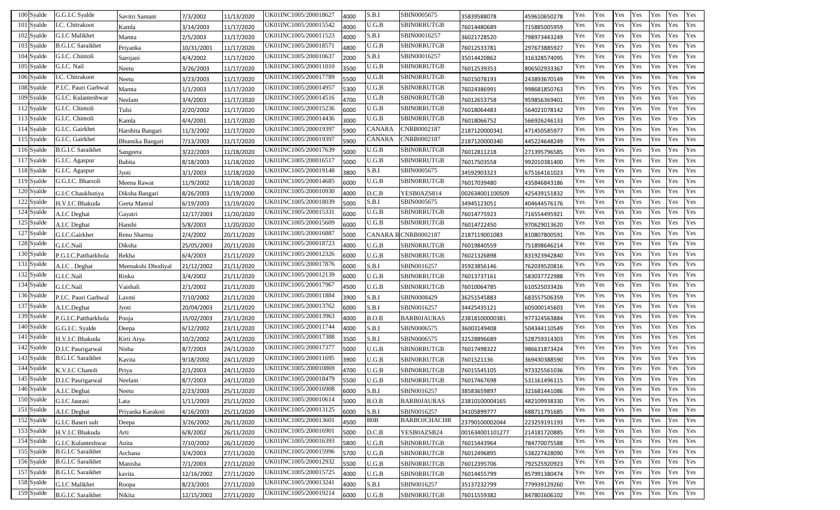| 100 Syalde     | G.G.I.C Syalde            | Savitri Samant     | 7/3/2002   | 11/13/2020 | JK01INC1005/200018627 | 4000 | S.B.I  | SBIN0005675         | 35839588078     | 459610650278 | Yes | Yes | Yes | Yes | Yes | Yes | Yes |
|----------------|---------------------------|--------------------|------------|------------|-----------------------|------|--------|---------------------|-----------------|--------------|-----|-----|-----|-----|-----|-----|-----|
| 101 Syalde     | I.C. Chitrakoot           | Kamla              | 3/14/2003  | 11/17/2020 | JK01INC1005/200015542 | 4000 | U.G.B  | SBIN0RRUTGB         | 76014480689     | 715885005959 | Yes | Yes | Yes | Yes | Yes | Yes | Yes |
| 102 Syalde     | G.I.C Malikhet            | Mamta              | 2/5/2003   | 11/17/2020 | JK01INC1005/200011523 | 4000 | S.B.I  | SBIN00016257        | 36021728520     | 798973443249 | Yes | Yes | Yes | Yes | Yes | Yes | Yes |
| 103 Syalde     | <b>B.G.I.C Saraikhet</b>  | Priyanka           | 10/31/2001 | 11/17/2020 | JK01INC1005/200018571 | 4800 | U.G.B  | SBIN0RRUTGB         | 76012533781     | 297673885927 | Yes | Yes | Yes | Yes | Yes | Yes | Yes |
| 104 Syalde     | G.I.C. Chintoli           | Sarojani           | 4/4/2002   | 11/17/2020 | JK01INC1005/200010637 | 2000 | S.B.I  | SBIN00016257        | 35014420862     | 316328574095 | Yes | Yes | Yes | Yes | Yes | Yes | Yes |
| 105 Syalde     | G.I.C. Nail               | Neetu              | 3/26/2003  | 11/17/2020 | JK01INC1005/200011010 | 3500 | U.G.B  | SBINORRUTGB         | 76012539353     | 806502933367 | Yes | Yes | Yes | Yes | Yes | Yes | Yes |
| 106 Syalde     | I.C. Chitrakoot           | Neetu              | 3/23/2003  | 11/17/2020 | JK01INC1005/200017789 | 5500 | J.G.B  | SBINORRUTGB         | 76015078193     | 243893670149 | Yes | Yes | Yes | Yes | Yes | Yes | Yes |
| 108 Syalde     | P.I.C. Pauri Garhwal      | Mamta              | 1/1/2003   | 11/17/2020 | JK01INC1005/200014957 | 5300 | J.G.B  | SBIN0RRUTGB         | 76024386991     | 998681850763 | Yes | Yes | Yes | Yes | Yes | Yes | Yes |
| 109 Syalde     | G.I.C. Kulanteshwar       | Neelam             | 3/4/2003   | 11/17/2020 | JK01INC1005/200014516 | 4700 | U.G.B  | SBIN0RRUTGB         | 76012653758     | 959856369401 | Yes | Yes | Yes | Yes | Yes | Yes | Yes |
| 112 Syalde     | G.I.C. Chintoli           | Tulsi              | 2/20/2002  | 11/17/2020 | JK01INC1005/200015236 | 6000 | U.G.B  | SBINORRUTGB         | 76018064483     | 564021078142 | Yes | Yes | Yes | Yes | Yes | Yes | Yes |
| 113 Syalde     | G.I.C. Chintoli           | Kamla              | 4/4/2001   | 11/17/2020 | JK01INC1005/200014436 | 3000 | U.G.B  | SBINORRUTGB         | 76018066752     | 566926246133 | Yes | Yes | Yes | Yes | Yes | Yes | Yes |
| 114 Syalde     | G.I.C. Gairkhet           | Harshita Bangari   | 11/3/2002  | 11/17/2020 | JK01INC1005/200019397 | 5900 | CANARA | CNRB0002187         | 2187120000341   | 471450585977 | Yes | Yes | Yes | Yes | Yes | Yes | Yes |
| 115 Syalde     | G.I.C. Gairkhet           | Bhumika Bangari    | 7/13/2003  | 11/17/2020 | JK01INC1005/200019397 | 5900 | CANARA | CNRB0002187         | 2187120000340   | 445224648249 | Yes | Yes | Yes | Yes | Yes | Yes | Yes |
| 116 Syalde     | <b>B.G.I.C Saraikhet</b>  | Sangeeta           | 3/22/2003  | 11/18/2020 | JK01INC1005/200017639 | 5000 | J.G.B  | SBIN0RRUTGB         | 76012811218     | 271395796585 | Yes | Yes | Yes | Yes | Yes | Yes | Yes |
| 117 Syalde     | G.I.C. Agaspur            | Babita             | 8/18/2003  | 11/18/2020 | JK01INC1005/200016517 | 5000 | U.G.B  | SBIN0RRUTGB         | 76017503558     | 992010381400 | Yes | Yes | Yes | Yes | Yes | Yes | Yes |
| 118 Syalde     | G.I.C. Agaspur            | Jyoti              | 3/1/2003   | 11/18/2020 | JK01INC1005/200019148 | 3800 | S.B.I  | SBIN0005675         | 34592903323     | 675164161023 | Yes | Yes | Yes | Yes | Yes | Yes | Yes |
| 119 Syalde     | G.G.I.C. Bharsoli         | Meena Rawat        | 11/9/2002  | 11/18/2020 | JK01INC1005/200014685 | 6000 | U.G.B  | SBIN0RRUTGB         | 76017039480     | 435846843186 | Yes | Yes | Yes | Yes | Yes | Yes | Yes |
| $120\,$ Syalde | G.I.C Chaukhutiya         | Diksha Bangari     | 8/26/2003  | 11/19/2000 | UK01INC1005/200010930 | 4000 | D.C.B  | YESB0AZS814         | 002634001100509 | 425439151832 | Yes | Yes | Yes | Yes | Yes | Yes | Yes |
| 122 Syalde     | H.V.I.C Bhakuda           | Geeta Manral       | 6/19/2003  | 11/19/2020 | JK01INC1005/200018039 | 5000 | S.B.I  | SBIN0005675         | 34945123051     | 404644576176 | Yes | Yes | Yes | Yes | Yes | Yes | Yes |
| 124 Syalde     | A.I.C Deghat              | Gayatri            | 12/17/2003 | 11/20/2020 | UK01INC1005/200015331 | 6000 | U.G.B  | SBIN0RRUTGB         | 76014775923     | 716554495921 | Yes | Yes | Yes | Yes | Yes | Yes | Yes |
| 125 Syalde     | A.I.C Deghat              | Hanshi             | 5/8/2003   | 11/20/2020 | UK01INC1005/200015609 | 6000 | U.G.B  | SBIN0RRUTGB         | 76014722450     | 970629013620 | Yes | Yes | Yes | Yes | Yes | Yes | Yes |
| 127 Syalde     | G.I.C.Gairkhet            | Renu Sharma        | 2/4/2002   | 20/11/2020 | JK01INC1005/200016887 | 5000 |        | CANARA BCNRB0002187 | 2187119001083   | 810807800591 | Yes | Yes | Yes | Yes | Yes | Yes | Yes |
| 128 Syalde     | G.I.C.Nail                | Diksha             | 25/05/2003 | 20/11/2020 | JK01INC1005/200018723 | 4000 | U.G.B  | SBIN0RRUTGB         | 76019840559     | 751898646214 | Yes | Yes | Yes | Yes | Yes | Yes | Yes |
| 130 Syalde     | P.G.I.C.Pattharkhola      | Rekha              | 6/4/2003   | 21/11/2020 | JK01INC1005/200012326 | 6000 | U.G.B  | SBIN0RRUTGB         | 76021326898     | 831923942840 | Yes | Yes | Yes | Yes | Yes | Yes | Yes |
| 131 Syalde     | A.I.C. Deghat             | Meenakshi Dhodiyal | 21/12/2002 | 21/11/2020 | JK01INC1005/200017876 | 6000 | S.B.I  | SBIN0016257         | 35923856146     | 762039520816 | Yes | Yes | Yes | Yes | Yes | Yes | Yes |
| 132 Syalde     | G.I.C.Nail                | Rinku              | 3/4/2002   | 21/11/2020 | JK01INC1005/200012139 | 6000 | U.G.B  | SBIN0RRUTGB         | 76013737161     | 583037722988 | Yes | Yes | Yes | Yes | Yes | Yes | Yes |
| 134 Syalde     | G.I.C.Nail                | Vaishali           | 2/1/2002   | 21/11/2020 | JK01INC1005/200017967 | 4500 | U.G.B  | SBIN0RRUTGB         | 76010064785     | 610525033426 | Yes | Yes | Yes | Yes | Yes | Yes | Yes |
| 136 Syalde     | P.I.C. Pauri Garhwal      | Laxmi              | 7/10/2002  | 21/11/2020 | JK01INC1005/200011884 | 3900 | S.B.I  | SBIN0008429         | 36251545883     | 683557506359 | Yes | Yes | Yes | Yes | Yes | Yes | Yes |
| 137 Syalde     | A.I.C.Deghat              | Jyoti              | 20/04/2003 | 21/11/2020 | JK01INC1005/200013762 | 6000 | S.B.I  | SBIN0016257         | 34425435121     | 605000145603 | Yes | Yes | Yes | Yes | Yes | Yes | Yes |
| 139 Syalde     | P.G.I.C.Pattharkhola      | Pooja              | 15/02/2003 | 23/11/2020 | UK01INC1005/200013963 | 4000 | B.O.B  | <b>BARB0JAURAS</b>  | 23818100000381  | 977324563884 | Yes | Yes | Yes | Yes | Yes | Yes | Yes |
| 140 Syalde     | G.G.I.C. Syalde           | Deepa              | 6/12/2002  | 23/11/2020 | JK01INC1005/200011744 | 4000 | S.B.I  | SBIN0006575         | 36003149408     | 504344110549 | Yes | Yes | Yes | Yes | Yes | Yes | Yes |
| 141 Syalde     | H.V.I.C Bhakuda           | Kirti Arya         | 10/2/2002  | 24/11/2020 | JK01INC1005/200017388 | 3500 | S.B.I  | SBIN0006575         | 32528896689     | 528759314303 | Yes | Yes | Yes | Yes | Yes | Yes | Yes |
| 142 Syalde     | D.I.C Paurigarwal         | Nisha              | 8/7/2003   | 24/11/2020 | JK01INC1005/200017377 | 5000 | U.G.B  | SBIN0RRUTGB         | 76017498322     | 986631873424 | Yes | Yes | Yes | Yes | Yes | Yes | Yes |
| 143 Syalde     | <b>B.G.I.C Saraikhet</b>  | Kavita             | 9/18/2002  | 24/11/2020 | JK01INC1005/200011695 | 3900 | U.G.B  | SBIN0RRUTGB         | 7601521136      | 369430388590 | Yes | Yes | Yes | Yes | Yes | Yes | Yes |
| 144 Syalde     | K.V.I.C Chanoli           | Priya              | 2/1/2003   | 24/11/2020 | UK01INC1005/200010869 | 4700 | U.G.B  | SBIN0RRUTGB         | 76015545105     | 973325561036 | Yes | Yes | Yes | Yes | Yes | Yes | Yes |
| 145 Syalde     | D.I.C Paurigarwal         | Neelam             | 8/7/2003   | 24/11/2020 | UK01INC1005/200018479 | 5500 | U.G.B  | <b>SBINORRUTGB</b>  | 76017467698     | 531161496115 | Yes | Yes | Yes | Yes | Yes | Yes | Yes |
| 146 Syalde     | A.I.C Deghat              | Neetu              | 2/23/2003  | 25/11/2020 | UK01INC1005/200016908 | 6000 | S.B.I  | SBIN0016257         | 38583659897     | 321681441086 | Yes | Yes | Yes | Yes | Yes | Yes | Yes |
| 150 Syalde     | G.I.C Jaurasi             | Lata               | 1/11/2003  | 25/11/2020 | JK01INC1005/200010614 | 5000 | B.O.B  | <b>BARB0JAURAS</b>  | 23810100004165  | 482109938330 | Yes | Yes | Yes | Yes | Yes | Yes | Yes |
| 151 Syalde     | A.I.C Deghat              | Priyanka Karakoti  | 4/16/2003  | 25/11/2020 | JK01INC1005/200013125 | 6000 | S.B.I  | SBIN0016257         | 34105899777     | 688711791685 | Yes | Yes | Yes | Yes | Yes | Yes | Yes |
| 152 Syalde     | G.I.C Baseri sult         | Deepa              | 3/26/2002  | 26/11/2020 | JK01INC1005/200013601 | 4500 | BOB    | BARBOJCHACHR        | 23790100002044  | 223259191193 | Yes | Yes | Yes | Yes | Yes | Yes | Yes |
| 153 Syalde     | H.V.I.C Bhakuda           | Arti               | 6/8/2002   | 26/11/2020 | JK01INC1005/200016901 | 5000 | D.C.B  | YESB0AZSB24         | 001634001101277 | 214181720885 | Yes | Yes | Yes | Yes | Yes | Yes | Yes |
| 154 Syalde     | <b>G.I.C Kulanteshwar</b> | Anita              | 7/10/2002  | 26/11/2020 | JK01INC1005/200016393 | 5800 | U.G.B  | SBINORRUTGB         | 76015443964     | 784770075588 | Yes | Yes | Yes | Yes | Yes | Yes | Yes |
| 155 Syalde     | <b>B.G.I.C Saraikhet</b>  | Archana            | 3/4/2003   | 27/11/2020 | JK01INC1005/200015996 | 5700 | U.G.B  | SBIN0RRUTGB         | 76012496895     | 538227428090 | Yes | Yes | Yes | Yes | Yes | Yes | Yes |
| 156 Syalde     | <b>B.G.I.C Saraikhet</b>  | Manisha            | 7/1/2003   | 27/11/2020 | JK01INC1005/200012932 | 5500 | U.G.B  | SBIN0RRUTGB         | 76012395706     | 792525920923 | Yes | Yes | Yes | Yes | Yes | Yes | Yes |
| 157 Syalde     | <b>B.G.I.C Saraikhet</b>  | kavita             | 12/16/2002 | 27/11/2020 | JK01INC1005/200015725 | 4000 | U.G.B  | SBIN0RRUTGB         | 76014455799     | 857991380474 | Yes | Yes | Yes | Yes | Yes | Yes | Yes |
| 158 Syalde     | G.I.C Malikhet            | Roopa              | 8/23/2001  | 27/11/2020 | JK01INC1005/200013241 | 4000 | S.B.I  | SBIN0016257         | 35137232799     | 779939129260 | Yes | Yes | Yes | Yes | Yes | Yes | Yes |
| 159 Syalde     | <b>B.G.I.C Saraikhet</b>  | Nikita             | 12/15/2002 | 27/11/2020 | UK01INC1005/200019214 | 6000 | U.G.B  | SBIN0RRUTGB         | 76011559382     | 847801606102 | Yes | Yes | Yes | Yes | Yes | Yes | Yes |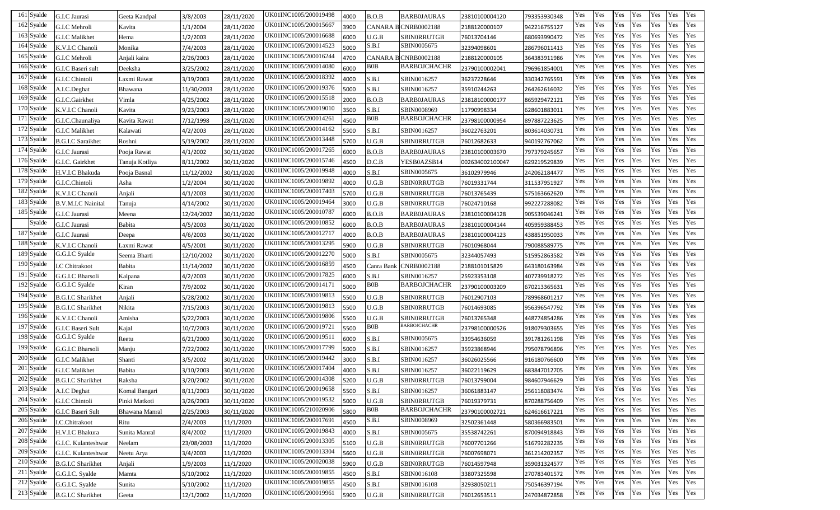| 161 Syalde | G.I.C Jaurasi             | Geeta Kandpal  | 3/8/2003   | 28/11/2020 | JK01INC1005/200019498 | 4000 | B.O.B         | BARBOJAURAS          | 23810100004120  | 793353930348 | Yes | Yes | Yes | Yes | Yes | Yes | Yes |
|------------|---------------------------|----------------|------------|------------|-----------------------|------|---------------|----------------------|-----------------|--------------|-----|-----|-----|-----|-----|-----|-----|
| 162 Syalde | G.I.C Mehroli             | Kavita         | 1/1/2004   | 28/11/2020 | JK01INC1005/200015667 | 3900 | <b>CANARA</b> | <b>B CNRB0002188</b> | 2188120000107   | 942216755127 | Yes | Yes | Yes | Yes | Yes | Yes | Yes |
| 163 Syalde | G.I.C Malikhet            | Hema           | 1/2/2003   | 28/11/2020 | JK01INC1005/200016688 | 6000 | U.G.B         | SBINORRUTGB          | 76013704146     | 680693990472 | Yes | Yes | Yes | Yes | Yes | Yes | Yes |
| 164 Syalde | K.V.I.C Chanoli           | Monika         | 7/4/2003   | 28/11/2020 | JK01INC1005/200014523 | 5000 | S.B.I         | SBIN0005675          | 32394098601     | 286796011413 | Yes | Yes | Yes | Yes | Yes | Yes | Yes |
| 165 Syalde | G.I.C Mehroli             | Anjali kaira   | 2/26/2003  | 28/11/2020 | JK01INC1005/200016244 | 4700 |               | CANARA B CNRB0002188 | 2188120000105   | 364383911986 | Yes | Yes | Yes | Yes | Yes | Yes | Yes |
| 166 Syalde | G.I.C Baseri sult         | Deeksha        | 3/25/2002  | 28/11/2020 | JK01INC1005/200014080 | 6000 | B0B           | BARBOJCHACHR         | 23790100002041  | 796961854001 | Yes | Yes | Yes | Yes | Yes | Yes | Yes |
| 167 Syalde | G.I.C Chintoli            | Laxmi Rawat    | 3/19/2003  | 28/11/2020 | JK01INC1005/200018392 | 4000 | S.B.I         | SBIN0016257          | 36237228646     | 330342765591 | Yes | Yes | Yes | Yes | Yes | Yes | Yes |
| 168 Syalde | A.I.C.Deghat              | Bhawana        | 11/30/2003 | 28/11/2020 | JK01INC1005/200019376 | 5000 | S.B.I         | SBIN0016257          | 35910244263     | 264262616032 | Yes | Yes | Yes | Yes | Yes | Yes | Yes |
| 169 Syalde | G.I.C.Gairkhet            | Vimla          | 4/25/2002  | 28/11/2020 | JK01INC1005/200015518 | 2000 | B.O.B         | <b>BARB0JAURAS</b>   | 23818100000177  | 865929472121 | Yes | Yes | Yes | Yes | Yes | Yes | Yes |
| 170 Syalde | K.V.I.C Chanoli           | Kavita         | 9/23/2003  | 28/11/2020 | JK01INC1005/200019010 | 3500 | S.B.I         | SBIN0008969          | 11790998334     | 628601883011 | Yes | Yes | Yes | Yes | Yes | Yes | Yes |
| 171 Syalde | G.I.C.Chaunaliya          | Kavita Rawat   | 7/12/1998  | 28/11/2020 | JK01INC1005/200014261 | 4500 | <b>BOB</b>    | <b>BARBOJCHACHR</b>  | 23798100000954  | 897887223625 | Yes | Yes | Yes | Yes | Yes | Yes | Yes |
| 172 Syalde | G.I.C Malikhet            | Kalawati       | 4/2/2003   | 28/11/2020 | JK01INC1005/200014162 | 5500 | S.B.I         | SBIN0016257          | 36022763201     | 803614030731 | Yes | Yes | Yes | Yes | Yes | Yes | Yes |
| 173 Syalde | <b>B.G.I.C Saraikhet</b>  | Roshni         | 5/19/2002  | 28/11/2020 | JK01INC1005/200013448 | 5700 | U.G.B         | SBIN0RRUTGB          | 76012682633     | 940192767062 | Yes | Yes | Yes | Yes | Yes | Yes | Yes |
| 174 Syalde | G.I.C Jaurasi             | Pooja Rawat    | 4/1/2002   | 30/11/2020 | JK01INC1005/200017265 | 6000 | B.O.B         | <b>BARB0JAURAS</b>   | 23810100003670  | 797379245657 | Yes | Yes | Yes | Yes | Yes | Yes | Yes |
| 176 Syalde | G.I.C. Gairkhet           | Tanuja Kotliya | 8/11/2002  | 30/11/2020 | JK01INC1005/200015746 | 4500 | D.C.B         | YESB0AZSB14          | 002634002100047 | 629219529839 | Yes | Yes | Yes | Yes | Yes | Yes | Yes |
| 178 Syalde | H.V.I.C Bhakuda           | Pooja Basnal   | 11/12/2002 | 30/11/2020 | JK01INC1005/200019948 | 4000 | S.B.I         | SBIN0005675          | 36102979946     | 242062184477 | Yes | Yes | Yes | Yes | Yes | Yes | Yes |
| 179 Syalde | G.I.C.Chintoli            | Asha           | 1/2/2004   | 30/11/2020 | JK01INC1005/200019892 | 4000 | U.G.B         | SBIN0RRUTGB          | 76019331744     | 311537951927 | Yes | Yes | Yes | Yes | Yes | Yes | Yes |
| 182 Syalde | K.V.I.C Chanoli           | Anjali         | 4/1/2003   | 30/11/2020 | UK01INC1005/200017403 | 5700 | U.G.B         | SBIN0RRUTGB          | 76013765439     | 575163662620 | Yes | Yes | Yes | Yes | Yes | Yes | Yes |
| 183 Syalde | <b>B.V.M.I.C Nainital</b> | Tanuja         | 4/14/2002  | 30/11/2020 | JK01INC1005/200019464 | 3000 | U.G.B         | SBIN0RRUTGB          | 76024710168     | 992227288082 | Yes | Yes | Yes | Yes | Yes | Yes | Yes |
| 185 Syalde | G.I.C Jaurasi             | Meena          | 12/24/2002 | 30/11/2020 | UK01INC1005/200010787 | 6000 | B.O.B         | BARB0JAURAS          | 23810100004128  | 905539046241 | Yes | Yes | Yes | Yes | Yes | Yes | Yes |
| Syalde     | G.I.C Jaurasi             | Babita         | 4/5/2003   | 30/11/2020 | JK01INC1005/200010852 | 6000 | B.O.B         | <b>BARB0JAURAS</b>   | 23810100004144  | 405959388453 | Yes | Yes | Yes | Yes | Yes | Yes | Yes |
| 187 Syalde | G.I.C Jaurasi             | Deepa          | 4/6/2003   | 30/11/2020 | JK01INC1005/200012717 | 4000 | B.O.B         | <b>BARB0JAURAS</b>   | 23810100004123  | 438851950033 | Yes | Yes | Yes | Yes | Yes | Yes | Yes |
| 188 Syalde | K.V.I.C Chanoli           | Laxmi Rawat    | 4/5/2001   | 30/11/2020 | JK01INC1005/200013295 | 5900 | U.G.B         | SBIN0RRUTGB          | 76010968044     | 790088589775 | Yes | Yes | Yes | Yes | Yes | Yes | Yes |
| 189 Syalde | G.G.I.C Syalde            | Seema Bharti   | 12/10/2002 | 30/11/2020 | JK01INC1005/200012270 | 5000 | S.B.I         | SBIN0005675          | 32344057493     | 515952863582 | Yes | Yes | Yes | Yes | Yes | Yes | Yes |
| 190 Syalde | I.C Chitrakoot            | Babita         | 11/14/2002 | 30/11/2020 | JK01INC1005/200016859 | 4500 | Canra Bank    | <b>CNRB0002188</b>   | 2188101015829   | 643180163984 | Yes | Yes | Yes | Yes | Yes | Yes | Yes |
| 191 Syalde | G.G.I.C Bharsoli          | Kalpana        | 4/2/2003   | 30/11/2020 | JK01INC1005/200017825 | 6000 | S.B.I         | SBIN0016257          | 25923353108     | 407739918272 | Yes | Yes | Yes | Yes | Yes | Yes | Yes |
| 192 Syalde | G.G.I.C Syalde            | Kiran          | 7/9/2002   | 30/11/2020 | JK01INC1005/200014171 | 5000 | BOB           | BARBOJCHACHR         | 23790100003209  | 670213365631 | Yes | Yes | Yes | Yes | Yes | Yes | Yes |
| 194 Syalde | <b>B.G.I.C Sharikhet</b>  | Anjali         | 5/28/2002  | 30/11/2020 | JK01INC1005/200019813 | 5500 | U.G.B         | SBIN0RRUTGB          | 76012907103     | 789968601217 | Yes | Yes | Yes | Yes | Yes | Yes | Yes |
| 195 Syalde | <b>B.G.I.C Sharikhet</b>  | Nikita         | 7/15/2003  | 30/11/2020 | JK01INC1005/200019813 | 5500 | U.G.B         | SBINORRUTGB          | 76014693085     | 956396547792 | Yes | Yes | Yes | Yes | Yes | Yes | Yes |
| 196 Syalde | K.V.I.C Chanoli           | Amisha         | 5/22/2003  | 30/11/2020 | UK01INC1005/200019806 | 5500 | U.G.B         | SBIN0RRUTGB          | 76013765348     | 448774854286 | Yes | Yes | Yes | Yes | Yes | Yes | Yes |
| 197 Syalde | G.I.C Baseri Sult         | Kajal          | 10/7/2003  | 30/11/2020 | JK01INC1005/200019721 | 5500 | <b>B0B</b>    | BARBOJCHACHR         | 23798100000526  | 918079303655 | Yes | Yes | Yes | Yes | Yes | Yes | Yes |
| 198 Syalde | G.G.I.C Syalde            | Reetu          | 6/21/2000  | 30/11/2020 | JK01INC1005/200019511 | 6000 | S.B.I         | SBIN0005675          | 33954636059     | 391781261198 | Yes | Yes | Yes | Yes | Yes | Yes | Yes |
| 199 Syalde | G.G.I.C Bharsoli          | Manju          | 7/22/2002  | 30/11/2020 | JK01INC1005/200017799 | 5000 | S.B.I         | SBIN0016257          | 35923868946     | 795078796896 | Yes | Yes | Yes | Yes | Yes | Yes | Yes |
| 200 Syalde | G.I.C Malikhet            | Shanti         | 3/5/2002   | 30/11/2020 | JK01INC1005/200019442 | 3000 | S.B.I         | SBIN0016257          | 36026025566     | 916180766600 | Yes | Yes | Yes | Yes | Yes | Yes | Yes |
| 201 Syalde | G.I.C Malikhet            | Babita         | 3/10/2003  | 30/11/2020 | UK01INC1005/200017404 | 4000 | S.B.I         | SBIN0016257          | 36022119629     | 683847012705 | Yes | Yes | Yes | Yes | Yes | Yes | Yes |
| 202 Syalde | <b>B.G.I.C Sharikhet</b>  | Raksha         | 3/20/2002  | 30/11/2020 | UK01INC1005/200014308 | 5200 | U.G.B         | <b>SBINORRUTGB</b>   | 76013799004     | 984607946629 | Yes | Yes | Yes | Yes | Yes | Yes | Yes |
| 203 Syalde | A.I.C Deghat              | Komal Bangari  | 8/11/2003  | 30/11/2020 | JK01INC1005/200019658 | 5500 | S.B.I         | SBIN0016257          | 36061883147     | 256118083474 | Yes | Yes | Yes | Yes | Yes | Yes | Yes |
| 204 Syalde | G.I.C Chintoli            | Pinki Matkoti  | 3/26/2003  | 30/11/2020 | JK01INC1005/200019532 | 5000 | U.G.B         | SBIN0RRUTGB          | 76019379731     | 870288756409 | Yes | Yes | Yes | Yes | Yes | Yes | Yes |
| 205 Syalde | G.I.C Baseri Sult         | Bhawana Manral | 2/25/2003  | 30/11/2020 | JK01INC1005/210020906 | 5800 | BOB           | BARBOJCHACHR         | 23790100002721  | 624616617221 | Yes | Yes | Yes | Yes | Yes | Yes | Yes |
| 206 Syalde | I.C.Chitrakoot            | Ritu           | 2/4/2003   | 11/1/2020  | JK01INC1005/200017691 | 4500 | S.B.I         | SBIN0008969          | 32502361448     | 580366983501 | Yes | Yes | Yes | Yes | Yes | Yes | Yes |
| 207 Syalde | H.V.I.C Bhakura           | Sunita Manral  | 8/4/2002   | 11/1/2020  | JK01INC1005/200019843 | 4000 | S.B.I         | SBIN0005675          | 35538742261     | 870094918843 | Yes | Yes | Yes | Yes | Yes | Yes | Yes |
| 208 Syalde | G.I.C. Kulanteshwar       | Neelam         | 23/08/2003 | 11/1/2020  | JK01INC1005/200013305 | 5100 | U.G.B         | SBINORRUTGB          | 76007701266     | 516792282235 | Yes | Yes | Yes | Yes | Yes | Yes | Yes |
| 209 Syalde | G.I.C. Kulanteshwar       | Neetu Arya     | 3/4/2003   | 11/1/2020  | JK01INC1005/200013304 | 5600 | U.G.B         | SBIN0RRUTGB          | 76007698071     | 361214202357 | Yes | Yes | Yes | Yes | Yes | Yes | Yes |
| 210 Syalde | <b>B.G.I.C Sharikhet</b>  | Anjali         | 1/9/2003   | 11/1/2020  | JK01INC1005/200020038 | 5900 | U.G.B         | SBIN0RRUTGB          | 76014597948     | 359031324577 | Yes | Yes | Yes | Yes | Yes | Yes | Yes |
| 211 Syalde | G.G.I.C. Syalde           | Mamta          | 5/10/2002  | 11/1/2020  | JK01INC1005/200019855 | 4500 | S.B.I         | SBIN0016108          | 33807325598     | 270783401572 | Yes | Yes | Yes | Yes | Yes | Yes | Yes |
| 212 Syalde | G.G.I.C. Syalde           | Sunita         | 5/10/2002  | 11/1/2020  | JK01INC1005/200019855 | 4500 | S.B.I         | SBIN0016108          | 32938050211     | 750546397194 | Yes | Yes | Yes | Yes | Yes | Yes | Yes |
| 213 Syalde | <b>B.G.I.C Sharikhet</b>  | Geeta          | 12/1/2002  | 11/1/2020  | UK01INC1005/200019961 | 5900 | U.G.B         | SBIN0RRUTGB          | 76012653511     | 247034872858 | Yes | Yes | Yes | Yes | Yes | Yes | Yes |